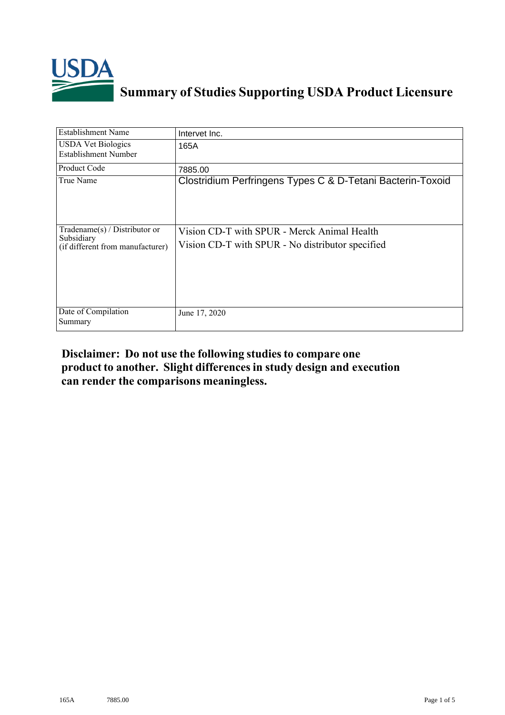

## **Summary of Studies Supporting USDA Product Licensure**

| <b>Establishment Name</b>                                                          | Intervet Inc.                                                                                   |
|------------------------------------------------------------------------------------|-------------------------------------------------------------------------------------------------|
| <b>USDA Vet Biologics</b><br><b>Establishment Number</b>                           | 165A                                                                                            |
| Product Code                                                                       | 7885.00                                                                                         |
| True Name                                                                          | Clostridium Perfringens Types C & D-Tetani Bacterin-Toxoid                                      |
| Tradename $(s)$ / Distributor or<br>Subsidiary<br>(if different from manufacturer) | Vision CD-T with SPUR - Merck Animal Health<br>Vision CD-T with SPUR - No distributor specified |
| Date of Compilation<br>Summary                                                     | June 17, 2020                                                                                   |

## **Disclaimer: Do not use the following studiesto compare one product to another. Slight differencesin study design and execution can render the comparisons meaningless.**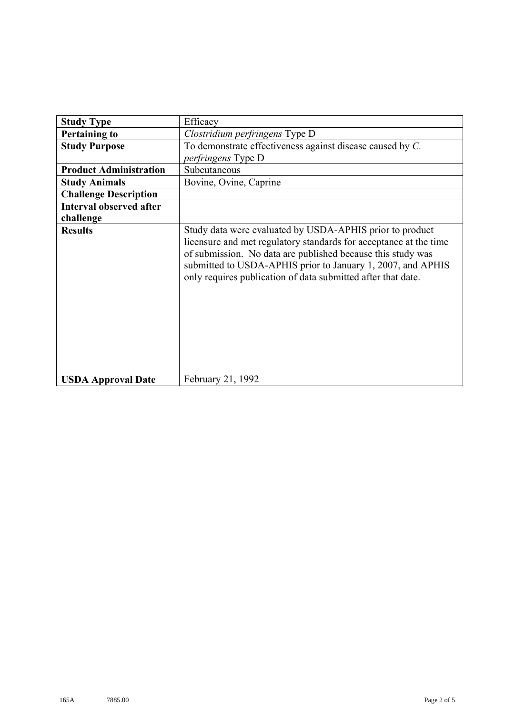| <b>Study Type</b>              | Efficacy                                                                                                                                                                                                                                                                                                                    |
|--------------------------------|-----------------------------------------------------------------------------------------------------------------------------------------------------------------------------------------------------------------------------------------------------------------------------------------------------------------------------|
| <b>Pertaining to</b>           | Clostridium perfringens Type D                                                                                                                                                                                                                                                                                              |
| <b>Study Purpose</b>           | To demonstrate effectiveness against disease caused by $C$ .                                                                                                                                                                                                                                                                |
|                                | <i>perfringens</i> Type D                                                                                                                                                                                                                                                                                                   |
| <b>Product Administration</b>  | Subcutaneous                                                                                                                                                                                                                                                                                                                |
| <b>Study Animals</b>           | Bovine, Ovine, Caprine                                                                                                                                                                                                                                                                                                      |
| <b>Challenge Description</b>   |                                                                                                                                                                                                                                                                                                                             |
| <b>Interval observed after</b> |                                                                                                                                                                                                                                                                                                                             |
| challenge                      |                                                                                                                                                                                                                                                                                                                             |
| <b>Results</b>                 | Study data were evaluated by USDA-APHIS prior to product<br>licensure and met regulatory standards for acceptance at the time<br>of submission. No data are published because this study was<br>submitted to USDA-APHIS prior to January 1, 2007, and APHIS<br>only requires publication of data submitted after that date. |
| <b>USDA Approval Date</b>      | February 21, 1992                                                                                                                                                                                                                                                                                                           |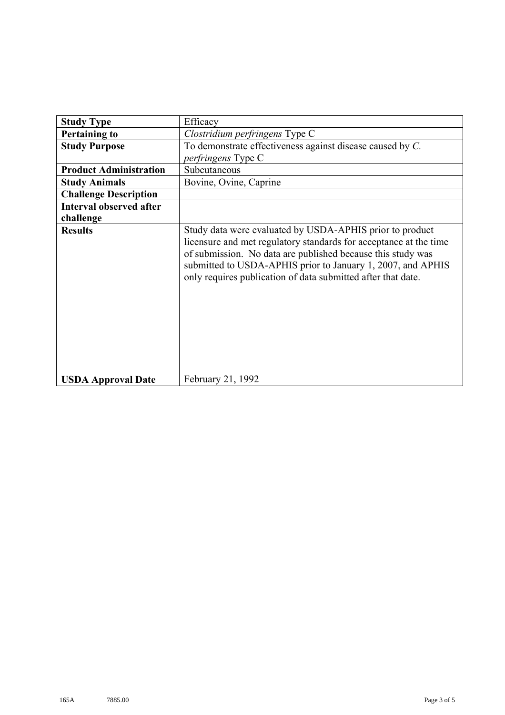| <b>Study Type</b>              | Efficacy                                                                                                                                                                                                                                                                                                                    |
|--------------------------------|-----------------------------------------------------------------------------------------------------------------------------------------------------------------------------------------------------------------------------------------------------------------------------------------------------------------------------|
| <b>Pertaining to</b>           | Clostridium perfringens Type C                                                                                                                                                                                                                                                                                              |
| <b>Study Purpose</b>           | To demonstrate effectiveness against disease caused by C.                                                                                                                                                                                                                                                                   |
|                                | <i>perfringens</i> Type C                                                                                                                                                                                                                                                                                                   |
| <b>Product Administration</b>  | Subcutaneous                                                                                                                                                                                                                                                                                                                |
| <b>Study Animals</b>           | Bovine, Ovine, Caprine                                                                                                                                                                                                                                                                                                      |
| <b>Challenge Description</b>   |                                                                                                                                                                                                                                                                                                                             |
| <b>Interval observed after</b> |                                                                                                                                                                                                                                                                                                                             |
| challenge                      |                                                                                                                                                                                                                                                                                                                             |
| <b>Results</b>                 | Study data were evaluated by USDA-APHIS prior to product<br>licensure and met regulatory standards for acceptance at the time<br>of submission. No data are published because this study was<br>submitted to USDA-APHIS prior to January 1, 2007, and APHIS<br>only requires publication of data submitted after that date. |
| <b>USDA Approval Date</b>      | February 21, 1992                                                                                                                                                                                                                                                                                                           |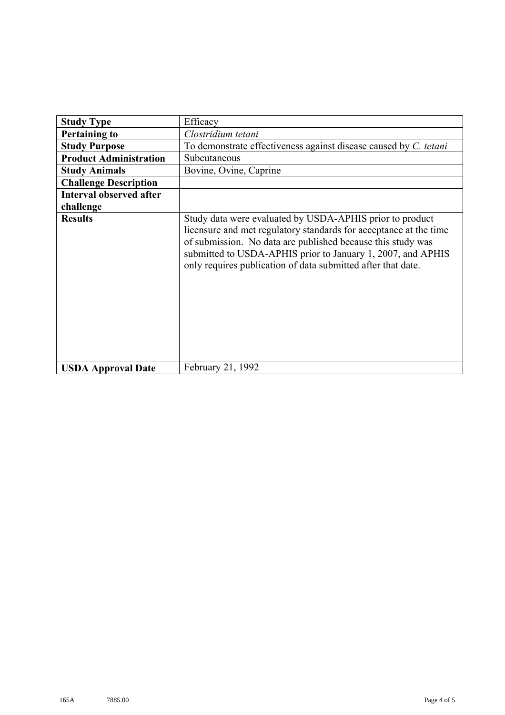| <b>Study Type</b>              | Efficacy                                                                                                                                                                                                                                                                                                                    |
|--------------------------------|-----------------------------------------------------------------------------------------------------------------------------------------------------------------------------------------------------------------------------------------------------------------------------------------------------------------------------|
| <b>Pertaining to</b>           | Clostridium tetani                                                                                                                                                                                                                                                                                                          |
|                                | To demonstrate effectiveness against disease caused by C. tetani                                                                                                                                                                                                                                                            |
| <b>Study Purpose</b>           |                                                                                                                                                                                                                                                                                                                             |
| <b>Product Administration</b>  | Subcutaneous                                                                                                                                                                                                                                                                                                                |
| <b>Study Animals</b>           | Bovine, Ovine, Caprine                                                                                                                                                                                                                                                                                                      |
| <b>Challenge Description</b>   |                                                                                                                                                                                                                                                                                                                             |
| <b>Interval observed after</b> |                                                                                                                                                                                                                                                                                                                             |
| challenge                      |                                                                                                                                                                                                                                                                                                                             |
| <b>Results</b>                 | Study data were evaluated by USDA-APHIS prior to product<br>licensure and met regulatory standards for acceptance at the time<br>of submission. No data are published because this study was<br>submitted to USDA-APHIS prior to January 1, 2007, and APHIS<br>only requires publication of data submitted after that date. |
| <b>USDA Approval Date</b>      | February 21, 1992                                                                                                                                                                                                                                                                                                           |